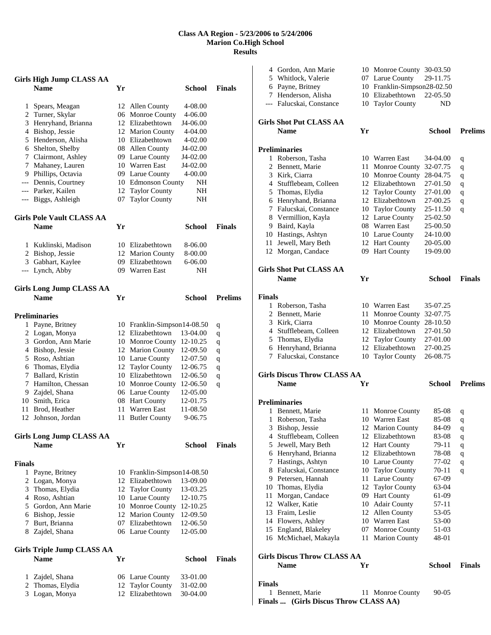### **Class AA Region - 5/23/2006 to 5/24/2006 Marion Co.High School Results**

|               | <b>Girls High Jump CLASS AA</b>        |    |                                          |                      |                |
|---------------|----------------------------------------|----|------------------------------------------|----------------------|----------------|
|               | <b>Name</b>                            | Yr |                                          | School               | <b>Finals</b>  |
| 1             | Spears, Meagan                         |    | 12 Allen County                          | 4-08.00              |                |
|               | 2 Turner, Skylar                       |    | 06 Monroe County                         | 4-06.00              |                |
|               | 3 Henryhand, Brianna                   |    | 12 Elizabethtown                         | J4-06.00             |                |
|               | 4 Bishop, Jessie                       |    | 12 Marion County                         | 4-04.00              |                |
|               | 5 Henderson, Alisha                    |    | 10 Elizabethtown                         | 4-02.00              |                |
|               | 6 Shelton, Shelby                      |    | 08 Allen County                          | J4-02.00             |                |
|               | 7 Clairmont, Ashley                    |    | 09 Larue County                          | J4-02.00             |                |
|               | 7 Mahaney, Lauren                      |    | 10 Warren East                           | J4-02.00             |                |
|               | 9 Phillips, Octavia                    |    | 09 Larue County                          | 4-00.00              |                |
|               | --- Dennis, Courtney                   |    | 10 Edmonson County                       | NH                   |                |
|               | --- Parker, Kailen                     |    | 12 Taylor County                         | NH                   |                |
| ---           | Biggs, Ashleigh                        | 07 | <b>Taylor County</b>                     | NΗ                   |                |
|               | <b>Girls Pole Vault CLASS AA</b>       |    |                                          |                      |                |
|               | Name                                   | Yr |                                          | School               | <b>Finals</b>  |
|               | 1 Kuklinski, Madison                   |    | 10 Elizabethtown                         | 8-06.00              |                |
|               | 2 Bishop, Jessie                       |    | 12 Marion County                         | 8-00.00              |                |
|               | 3 Gabhart, Kaylee                      |    | 09 Elizabethtown                         | 6-06.00              |                |
|               | --- Lynch, Abby                        |    | 09 Warren East                           | <b>NH</b>            |                |
|               | <b>Girls Long Jump CLASS AA</b>        |    |                                          |                      |                |
|               | <b>Name</b>                            | Yr |                                          | <b>School</b>        | <b>Prelims</b> |
|               | <b>Preliminaries</b>                   |    |                                          |                      |                |
|               | 1 Payne, Britney                       |    | 10 Franklin-Simpson14-08.50              |                      | q              |
|               | 2 Logan, Monya                         |    | 12 Elizabethtown                         | 13-04.00             | q              |
|               | 3 Gordon, Ann Marie                    |    | 10 Monroe County                         | 12-10.25             | q              |
|               | 4 Bishop, Jessie                       |    | 12 Marion County                         | 12-09.50             | q              |
|               | 5 Roso, Ashtian                        |    | 10 Larue County                          | 12-07.50             | q              |
|               | 6 Thomas, Elydia<br>7 Ballard, Kristin | 12 | <b>Taylor County</b><br>10 Elizabethtown | 12-06.75<br>12-06.50 | q              |
|               | 7 Hamilton, Chessan                    |    | 10 Monroe County                         | 12-06.50             | q              |
|               | 9 Zajdel, Shana                        |    | 06 Larue County                          | 12-05.00             | q              |
|               | 10 Smith, Erica                        |    | 08 Hart County                           | 12-01.75             |                |
| 11 -          | Brod, Heather                          | 11 | <b>Warren East</b>                       | 11-08.50             |                |
| 12            | Johnson, Jordan                        | 11 | <b>Butler County</b>                     | 9-06.75              |                |
|               | <b>Girls Long Jump CLASS AA</b>        |    |                                          |                      |                |
|               | <b>Name</b>                            | Yr |                                          | <b>School</b>        | <b>Finals</b>  |
| <b>Finals</b> |                                        |    |                                          |                      |                |
| 1             | Payne, Britney                         |    | 10 Franklin-Simpson14-08.50              |                      |                |
|               | 2 Logan, Monya                         |    | 12 Elizabethtown                         | 13-09.00             |                |
| 3             | Thomas, Elydia                         |    | 12 Taylor County                         | 13-03.25             |                |
|               | 4 Roso, Ashtian                        |    | 10 Larue County                          | 12-10.75             |                |
|               | 5 Gordon, Ann Marie                    | 10 | Monroe County                            | 12-10.25             |                |
|               | 6 Bishop, Jessie                       | 12 | <b>Marion County</b>                     | 12-09.50             |                |
| 7             | Burt, Brianna                          |    | 07 Elizabethtown                         | 12-06.50             |                |
|               | 8 Zajdel, Shana                        |    | 06 Larue County                          | 12-05.00             |                |
|               | <b>Girls Triple Jump CLASS AA</b>      |    |                                          |                      |                |
|               | <b>Name</b>                            | Yr |                                          | <b>School</b>        | <b>Finals</b>  |
| 1             | Zajdel, Shana                          |    | 06 Larue County                          | 33-01.00             |                |
| 2             | Thomas, Elydia                         | 12 | <b>Taylor County</b>                     | 31-02.00             |                |
| 3             | Logan, Monya                           | 12 | Elizabethtown                            | 30-04.00             |                |

|               | 4 Gordon, Ann Marie                                     |     | 10 Monroe County            | 30-03.50      |                |
|---------------|---------------------------------------------------------|-----|-----------------------------|---------------|----------------|
|               | 5 Whitlock, Valerie                                     |     | 07 Larue County             | 29-11.75      |                |
|               | 6 Payne, Britney                                        |     | 10 Franklin-Simpson28-02.50 |               |                |
|               | 7 Henderson, Alisha                                     |     | 10 Elizabethtown            | 22-05.50      |                |
|               | --- Falucskai, Constance                                |     | 10 Taylor County            | ND            |                |
|               | <b>Girls Shot Put CLASS AA</b>                          |     |                             |               |                |
|               | <b>Name</b>                                             | Yr  |                             | School        | <b>Prelims</b> |
|               | <b>Preliminaries</b>                                    |     |                             |               |                |
|               | 1 Roberson, Tasha                                       |     | 10 Warren East              | 34-04.00      |                |
|               | 2 Bennett, Marie                                        |     | 11 Monroe County            | 32-07.75      | q              |
|               | 3 Kirk, Ciarra                                          |     | 10 Monroe County            | 28-04.75      | q              |
|               | 4 Stufflebeam, Colleen                                  |     | 12 Elizabethtown            | 27-01.50      | q<br>q         |
|               | 5 Thomas, Elydia                                        |     | 12 Taylor County            | 27-01.00      |                |
|               | 6 Henryhand, Brianna                                    |     | 12 Elizabethtown            | 27-00.25      | q              |
|               | 7 Falucskai, Constance                                  | 10  | <b>Taylor County</b>        | 25-11.50      | q              |
|               | 8 Vermillion, Kayla                                     |     | 12 Larue County             | 25-02.50      | q              |
|               | 9 Baird, Kayla                                          |     | 08 Warren East              | 25-00.50      |                |
|               | 10 Hastings, Ashtyn                                     |     | 10 Larue County             | 24-10.00      |                |
|               | 11 Jewell, Mary Beth                                    |     | 12 Hart County              | 20-05.00      |                |
|               | 12 Morgan, Candace                                      |     | 09 Hart County              | 19-09.00      |                |
|               |                                                         |     |                             |               |                |
|               | <b>Girls Shot Put CLASS AA</b>                          |     |                             |               |                |
|               | <b>Name</b>                                             | Yr  |                             | School        | <b>Finals</b>  |
| <b>Finals</b> |                                                         |     |                             |               |                |
|               | 1 Roberson, Tasha                                       |     | 10 Warren East              | 35-07.25      |                |
|               | 2 Bennett, Marie                                        | 11  | Monroe County               | 32-07.75      |                |
|               | 3 Kirk, Ciarra                                          |     | 10 Monroe County            | 28-10.50      |                |
|               | 4 Stufflebeam, Colleen                                  |     | 12 Elizabethtown            | 27-01.50      |                |
|               | 5 Thomas, Elydia                                        |     | 12 Taylor County            | 27-01.00      |                |
|               | 6 Henryhand, Brianna                                    |     | 12 Elizabethtown            | 27-00.25      |                |
|               | 7 Falucskai, Constance                                  |     | 10 Taylor County            | 26-08.75      |                |
|               | <b>Girls Discus Throw CLASS AA</b>                      |     |                             |               |                |
|               | <b>Name</b>                                             | Yr  |                             | <b>School</b> | <b>Prelims</b> |
|               | <b>Preliminaries</b>                                    |     |                             |               |                |
|               | 1 Bennett, Marie                                        | 11. | <b>Monroe County</b>        | 85-08         | q              |
| 1             | Roberson, Tasha                                         |     | 10 Warren East              | 85-08         | q              |
|               | 3 Bishop, Jessie                                        |     | 12 Marion County            | 84-09         | q              |
|               | 4 Stufflebeam, Colleen                                  |     | 12 Elizabethtown            | 83-08         | q              |
|               | 5 Jewell, Mary Beth                                     |     | 12 Hart County              | 79-11         | q              |
|               | 6 Henryhand, Brianna                                    |     | 12 Elizabethtown            | 78-08         | q              |
|               | 7 Hastings, Ashtyn                                      |     | 10 Larue County             | 77-02         | q              |
|               | 8 Falucskai, Constance                                  | 10  | <b>Taylor County</b>        | $70 - 11$     | q              |
|               | 9 Petersen, Hannah                                      | 11  | Larue County                | 67-09         |                |
|               | 10 Thomas, Elydia                                       | 12  | <b>Taylor County</b>        | 63-04         |                |
| 11            | Morgan, Candace                                         | 09  | <b>Hart County</b>          | 61-09         |                |
|               | 12 Walker, Katie                                        |     | 10 Adair County             | 57-11         |                |
|               | 13 Fraim, Leslie                                        |     | 12 Allen County             | 53-05         |                |
|               | 14 Flowers, Ashley                                      |     | 10 Warren East              | 53-00         |                |
|               | 15 England, Blakeley                                    | 07  | Monroe County               | 51-03         |                |
|               | 16 McMichael, Makayla                                   | 11  | <b>Marion County</b>        | 48-01         |                |
|               | <b>Girls Discus Throw CLASS AA</b>                      |     |                             |               |                |
|               | <b>Name</b>                                             | Yr  |                             | <b>School</b> | <b>Finals</b>  |
| <b>Finals</b> |                                                         |     |                             |               |                |
| 1             |                                                         |     |                             |               |                |
|               | Bennett, Marie<br>Finals  (Girls Discus Throw CLASS AA) |     | 11 Monroe County            | 90-05         |                |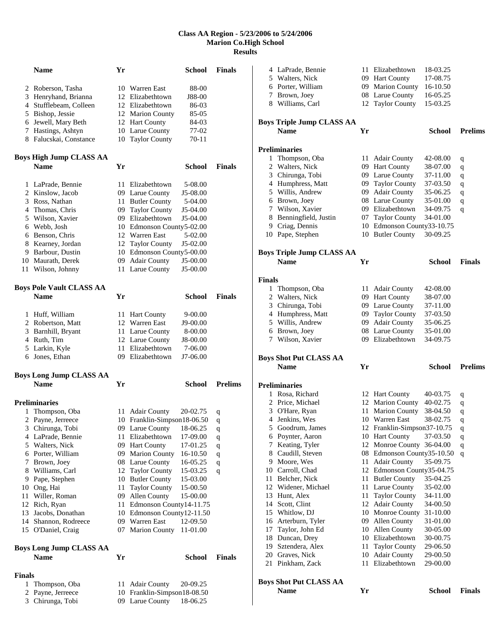### **Class AA Region - 5/23/2006 to 5/24/2006 Marion Co.High School Results**

|               | Name                            | Yr |                             | <b>School</b> | <b>Finals</b>  |
|---------------|---------------------------------|----|-----------------------------|---------------|----------------|
|               | 2 Roberson, Tasha               |    | 10 Warren East              | 88-00         |                |
|               | 3 Henryhand, Brianna            |    | 12 Elizabethtown            | J88-00        |                |
|               | 4 Stufflebeam, Colleen          |    | 12 Elizabethtown            | 86-03         |                |
|               | 5 Bishop, Jessie                |    | 12 Marion County            | 85-05         |                |
|               | 6 Jewell, Mary Beth             |    | 12 Hart County              | 84-03         |                |
|               | 7 Hastings, Ashtyn              |    | 10 Larue County             | 77-02         |                |
|               | 8 Falucskai, Constance          |    | 10 Taylor County            | 70-11         |                |
|               |                                 |    |                             |               |                |
|               | <b>Boys High Jump CLASS AA</b>  |    |                             |               |                |
|               | <b>Name</b>                     | Yr |                             | School        | <b>Finals</b>  |
|               | 1 LaPrade, Bennie               |    | 11 Elizabethtown            | 5-08.00       |                |
|               | 2 Kinslow, Jacob                |    | 09 Larue County             | J5-08.00      |                |
|               | 3 Ross, Nathan                  |    | 11 Butler County            | 5-04.00       |                |
|               | 4 Thomas, Chris                 |    | 09 Taylor County            | J5-04.00      |                |
|               | 5 Wilson, Xavier                |    | 09 Elizabethtown            | J5-04.00      |                |
|               | 6 Webb, Josh                    |    | 10 Edmonson County5-02.00   |               |                |
|               | 6 Benson, Chris                 |    | 12 Warren East              | 5-02.00       |                |
|               | 8 Kearney, Jordan               |    | 12 Taylor County            | J5-02.00      |                |
|               | 9 Barbour, Dustin               | 10 | Edmonson County5-00.00      |               |                |
|               | 10 Maurath, Derek               | 09 | <b>Adair County</b>         | J5-00.00      |                |
|               | 11 Wilson, Johnny               |    | 11 Larue County             | J5-00.00      |                |
|               | <b>Boys Pole Vault CLASS AA</b> |    |                             |               |                |
|               | <b>Name</b>                     | Yr |                             | School        | <b>Finals</b>  |
|               | 1 Huff, William                 | 11 | <b>Hart County</b>          | 9-00.00       |                |
|               | 2 Robertson, Matt               | 12 | Warren East                 | J9-00.00      |                |
|               | 3 Barnhill, Bryant              |    | 11 Larue County             | 8-00.00       |                |
|               | 4 Ruth, Tim                     |    | 12 Larue County             | J8-00.00      |                |
|               | 5 Larkin, Kyle                  | 11 | Elizabethtown               | 7-06.00       |                |
|               | 6 Jones, Ethan                  |    | 09 Elizabethtown            | J7-06.00      |                |
|               | <b>Boys Long Jump CLASS AA</b>  |    |                             |               |                |
|               | <b>Name</b>                     | Yr |                             | School        | <b>Prelims</b> |
|               | <b>Preliminaries</b>            |    |                             |               |                |
|               | 1 Thompson, Oba                 | 11 | <b>Adair County</b>         | 20-02.75      | q              |
|               | 2 Payne, Jerreece               |    | 10 Franklin-Simpson18-06.50 |               | q              |
|               | 3 Chirunga, Tobi                |    | 09 Larue County             | 18-06.25      | q              |
|               | 4 LaPrade, Bennie               |    | 11 Elizabethtown            | 17-09.00      | q              |
|               | 5 Walters, Nick                 |    | 09 Hart County              | 17-01.25      | q              |
|               | 6 Porter, William               |    | 09 Marion County            | 16-10.50      | $\mathbf q$    |
|               | 7 Brown, Joey                   |    | 08 Larue County             | 16-05.25      | q              |
|               | 8 Williams, Carl                |    | 12 Taylor County            | 15-03.25      | q              |
|               | 9 Pape, Stephen                 | 10 | <b>Butler County</b>        | 15-03.00      |                |
|               | 10 Ong, Hai                     | 11 | <b>Taylor County</b>        | 15-00.50      |                |
| 11            | Willer, Roman                   | 09 | Allen County                | 15-00.00      |                |
|               | 12 Rich, Ryan                   | 11 | Edmonson County14-11.75     |               |                |
|               | 13 Jacobs, Donathan             |    | 10 Edmonson County12-11.50  |               |                |
|               | 14 Shannon, Rodreece            |    | 09 Warren East              | 12-09.50      |                |
|               | 15 O'Daniel, Craig              | 07 | <b>Marion County</b>        | 11-01.00      |                |
|               | <b>Boys Long Jump CLASS AA</b>  |    |                             |               |                |
|               | <b>Name</b>                     | Yr |                             | <b>School</b> | <b>Finals</b>  |
| <b>Finals</b> |                                 |    |                             |               |                |
| $\mathbf{1}$  | Thompson, Oba                   | 11 | Adair County                | 20-09.25      |                |
| 2             | Payne, Jerreece                 |    | 10 Franklin-Simpson18-08.50 |               |                |
|               | 3 Chirunga, Tobi                |    | 09 Larue County             | 18-06.25      |                |

|               | 4 LaPrade, Bennie                            |     | 11 Elizabethtown            | 18-03.25      |                |
|---------------|----------------------------------------------|-----|-----------------------------|---------------|----------------|
|               | 5 Walters, Nick                              |     | 09 Hart County              | 17-08.75      |                |
|               | 6 Porter, William                            |     | 09 Marion County            | 16-10.50      |                |
|               | 7 Brown, Joey                                |     | 08 Larue County             | 16-05.25      |                |
|               | 8 Williams, Carl                             |     | 12 Taylor County            | 15-03.25      |                |
|               |                                              |     |                             |               |                |
|               | <b>Boys Triple Jump CLASS AA</b>             |     |                             |               |                |
|               | <b>Name</b>                                  | Yr  |                             | School        | <b>Prelims</b> |
|               | <b>Preliminaries</b>                         |     |                             |               |                |
|               | 1 Thompson, Oba                              |     | 11 Adair County             | 42-08.00      | q              |
|               | 2 Walters, Nick                              |     | 09 Hart County              | 38-07.00      | q              |
|               | 3 Chirunga, Tobi                             |     | 09 Larue County             | 37-11.00      | q              |
|               | 4 Humphress, Matt                            |     | 09 Taylor County            | 37-03.50      | q              |
|               | 5 Willis, Andrew                             |     | 09 Adair County             | 35-06.25      | q              |
|               | 6 Brown, Joey                                |     | 08 Larue County             | 35-01.00      | q              |
|               | 7 Wilson, Xavier                             |     | 09 Elizabethtown            | 34-09.75      | q              |
|               | 8 Benningfield, Justin                       |     | 07 Taylor County            | 34-01.00      |                |
|               | 9 Criag, Dennis                              |     | 10 Edmonson County33-10.75  |               |                |
|               | 10 Pape, Stephen                             |     | 10 Butler County            | 30-09.25      |                |
|               |                                              |     |                             |               |                |
|               | <b>Boys Triple Jump CLASS AA</b>             |     |                             |               |                |
|               | <b>Name</b>                                  | Yr  |                             | School        | <b>Finals</b>  |
|               |                                              |     |                             |               |                |
| <b>Finals</b> |                                              |     |                             |               |                |
| $\mathbf{1}$  | Thompson, Oba                                |     | 11 Adair County             | 42-08.00      |                |
|               | 2 Walters, Nick                              |     | 09 Hart County              | 38-07.00      |                |
|               | 3 Chirunga, Tobi                             |     | 09 Larue County             | 37-11.00      |                |
|               | 4 Humphress, Matt                            |     | 09 Taylor County            | 37-03.50      |                |
|               | 5 Willis, Andrew                             |     | 09 Adair County             | 35-06.25      |                |
|               | 6 Brown, Joey                                |     | 08 Larue County             | 35-01.00      |                |
|               | 7 Wilson, Xavier                             |     | 09 Elizabethtown            | 34-09.75      |                |
|               |                                              |     |                             |               |                |
|               |                                              |     |                             |               |                |
|               | <b>Boys Shot Put CLASS AA</b><br><b>Name</b> | Yr  |                             | School        | <b>Prelims</b> |
|               |                                              |     |                             |               |                |
|               | <b>Preliminaries</b>                         |     |                             |               |                |
|               | 1 Rosa, Richard                              |     | 12 Hart County              | 40-03.75      | q              |
|               | 2 Price, Michael                             |     | 12 Marion County            | 40-02.75      | q              |
|               | 3 O'Hare, Ryan                               | 11  | Marion County               | 38-04.50      | q              |
|               | 4 Jenkins, Wes                               |     | 10 Warren East              | 38-02.75      | q              |
| 5             | Goodrum, James                               |     | 12 Franklin-Simpson37-10.75 |               | q              |
|               | 6 Poynter, Aaron                             |     | 10 Hart County              | 37-03.50      | q              |
|               | 7 Keating, Tyler                             |     | 12 Monroe County 36-04.00   |               | q              |
|               | 8 Caudill, Steven                            |     | 08 Edmonson County35-10.50  |               | q              |
|               | 9 Moore, Wes                                 | 11  | <b>Adair County</b>         | 35-09.75      |                |
|               | 10 Carroll, Chad                             |     | 12 Edmonson County35-04.75  |               |                |
| 11            | Belcher, Nick                                | 11. | <b>Butler County</b>        | 35-04.25      |                |
|               | 12 Widener, Michael                          |     | 11 Larue County             | 35-02.00      |                |
| 13            | Hunt, Alex                                   | 11  | <b>Taylor County</b>        | 34-11.00      |                |
|               | 14 Scott, Clint                              | 12  | <b>Adair County</b>         | 34-00.50      |                |
|               | 15 Whitlow, DJ                               | 10  | Monroe County               | 31-10.00      |                |
|               | 16 Arterburn, Tyler                          |     | 09 Allen County             | 31-01.00      |                |
|               | 17 Taylor, John Ed                           |     | 10 Allen County             | 30-05.00      |                |
|               | 18 Duncan, Drey                              |     | 10 Elizabethtown            | 30-00.75      |                |
| 19            | Sztendera, Alex                              | 11  | <b>Taylor County</b>        | 29-06.50      |                |
|               | 20 Graves, Nick                              | 10  | <b>Adair County</b>         | 29-00.50      |                |
| 21            | Pinkham, Zack                                | 11- | Elizabethtown               | 29-00.00      |                |
|               |                                              |     |                             |               |                |
|               | <b>Boys Shot Put CLASS AA</b><br><b>Name</b> | Yr  |                             | <b>School</b> | <b>Finals</b>  |